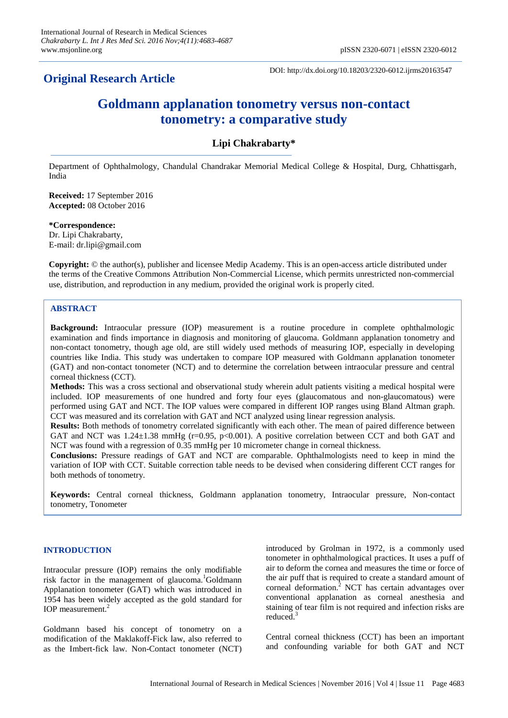## **Original Research Article**

DOI: http://dx.doi.org/10.18203/2320-6012.ijrms20163547

# **Goldmann applanation tonometry versus non-contact tonometry: a comparative study**

## **Lipi Chakrabarty\***

Department of Ophthalmology, Chandulal Chandrakar Memorial Medical College & Hospital, Durg, Chhattisgarh, India

**Received:** 17 September 2016 **Accepted:** 08 October 2016

#### **\*Correspondence:**

Dr. Lipi Chakrabarty, E-mail: dr.lipi@gmail.com

**Copyright:** © the author(s), publisher and licensee Medip Academy. This is an open-access article distributed under the terms of the Creative Commons Attribution Non-Commercial License, which permits unrestricted non-commercial use, distribution, and reproduction in any medium, provided the original work is properly cited.

#### **ABSTRACT**

**Background:** Intraocular pressure (IOP) measurement is a routine procedure in complete ophthalmologic examination and finds importance in diagnosis and monitoring of glaucoma. Goldmann applanation tonometry and non-contact tonometry, though age old, are still widely used methods of measuring IOP, especially in developing countries like India. This study was undertaken to compare IOP measured with Goldmann applanation tonometer (GAT) and non-contact tonometer (NCT) and to determine the correlation between intraocular pressure and central corneal thickness (CCT).

**Methods:** This was a cross sectional and observational study wherein adult patients visiting a medical hospital were included. IOP measurements of one hundred and forty four eyes (glaucomatous and non-glaucomatous) were performed using GAT and NCT. The IOP values were compared in different IOP ranges using Bland Altman graph. CCT was measured and its correlation with GAT and NCT analyzed using linear regression analysis.

**Results:** Both methods of tonometry correlated significantly with each other. The mean of paired difference between GAT and NCT was  $1.24 \pm 1.38$  mmHg ( $r=0.95$ ,  $p<0.001$ ). A positive correlation between CCT and both GAT and NCT was found with a regression of 0.35 mmHg per 10 micrometer change in corneal thickness.

**Conclusions:** Pressure readings of GAT and NCT are comparable. Ophthalmologists need to keep in mind the variation of IOP with CCT. Suitable correction table needs to be devised when considering different CCT ranges for both methods of tonometry.

**Keywords:** Central corneal thickness, Goldmann applanation tonometry, Intraocular pressure, Non-contact tonometry, Tonometer

#### **INTRODUCTION**

Intraocular pressure (IOP) remains the only modifiable risk factor in the management of glaucoma.<sup>1</sup>Goldmann Applanation tonometer (GAT) which was introduced in 1954 has been widely accepted as the gold standard for IOP measurement.<sup>2</sup>

Goldmann based his concept of tonometry on a modification of the Maklakoff-Fick law, also referred to as the Imbert-fick law. Non-Contact tonometer (NCT) introduced by Grolman in 1972, is a commonly used tonometer in ophthalmological practices. It uses a puff of air to deform the cornea and measures the time or force of the air puff that is required to create a standard amount of corneal deformation.<sup>2</sup> NCT has certain advantages over conventional applanation as corneal anesthesia and staining of tear film is not required and infection risks are reduced.<sup>3</sup>

Central corneal thickness (CCT) has been an important and confounding variable for both GAT and NCT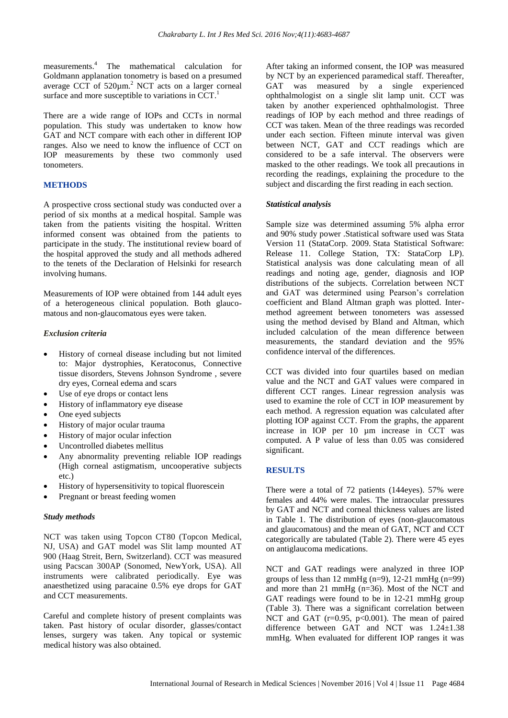measurements.<sup>4</sup> The mathematical calculation for Goldmann applanation tonometry is based on a presumed average CCT of  $520 \mu m$ .<sup>2</sup> NCT acts on a larger corneal surface and more susceptible to variations in CCT.

There are a wide range of IOPs and CCTs in normal population. This study was undertaken to know how GAT and NCT compare with each other in different IOP ranges. Also we need to know the influence of CCT on IOP measurements by these two commonly used tonometers.

## **METHODS**

A prospective cross sectional study was conducted over a period of six months at a medical hospital. Sample was taken from the patients visiting the hospital. Written informed consent was obtained from the patients to participate in the study. The institutional review board of the hospital approved the study and all methods adhered to the tenets of the Declaration of Helsinki for research involving humans.

Measurements of IOP were obtained from 144 adult eyes of a heterogeneous clinical population. Both glaucomatous and non-glaucomatous eyes were taken.

## *Exclusion criteria*

- History of corneal disease including but not limited to: Major dystrophies, Keratoconus, Connective tissue disorders, Stevens Johnson Syndrome , severe dry eyes, Corneal edema and scars
- Use of eye drops or contact lens
- History of inflammatory eye disease
- One eyed subjects
- History of major ocular trauma
- History of major ocular infection
- Uncontrolled diabetes mellitus
- Any abnormality preventing reliable IOP readings (High corneal astigmatism, uncooperative subjects etc.)
- History of hypersensitivity to topical fluorescein
- Pregnant or breast feeding women

## *Study methods*

NCT was taken using Topcon CT80 (Topcon Medical, NJ, USA) and GAT model was Slit lamp mounted AT 900 (Haag Streit, Bern, Switzerland). CCT was measured using Pacscan 300AP (Sonomed, NewYork, USA). All instruments were calibrated periodically. Eye was anaesthetized using paracaine 0.5% eye drops for GAT and CCT measurements.

Careful and complete history of present complaints was taken. Past history of ocular disorder, glasses/contact lenses, surgery was taken. Any topical or systemic medical history was also obtained.

After taking an informed consent, the IOP was measured by NCT by an experienced paramedical staff. Thereafter, GAT was measured by a single experienced ophthalmologist on a single slit lamp unit. CCT was taken by another experienced ophthalmologist. Three readings of IOP by each method and three readings of CCT was taken. Mean of the three readings was recorded under each section. Fifteen minute interval was given between NCT, GAT and CCT readings which are considered to be a safe interval. The observers were masked to the other readings. We took all precautions in recording the readings, explaining the procedure to the subject and discarding the first reading in each section.

## *Statistical analysis*

Sample size was determined assuming 5% alpha error and 90% study power .Statistical software used was Stata Version 11 (StataCorp. 2009. Stata Statistical Software: Release 11. College Station, TX: StataCorp LP). Statistical analysis was done calculating mean of all readings and noting age, gender, diagnosis and IOP distributions of the subjects. Correlation between NCT and GAT was determined using Pearson's correlation coefficient and Bland Altman graph was plotted. Intermethod agreement between tonometers was assessed using the method devised by Bland and Altman, which included calculation of the mean difference between measurements, the standard deviation and the 95% confidence interval of the differences.

CCT was divided into four quartiles based on median value and the NCT and GAT values were compared in different CCT ranges. Linear regression analysis was used to examine the role of CCT in IOP measurement by each method. A regression equation was calculated after plotting IOP against CCT. From the graphs, the apparent increase in IOP per 10 µm increase in CCT was computed. A P value of less than 0.05 was considered significant.

## **RESULTS**

There were a total of 72 patients (144eyes). 57% were females and 44% were males. The intraocular pressures by GAT and NCT and corneal thickness values are listed in Table 1. The distribution of eyes (non-glaucomatous and glaucomatous) and the mean of GAT, NCT and CCT categorically are tabulated (Table 2). There were 45 eyes on antiglaucoma medications.

NCT and GAT readings were analyzed in three IOP groups of less than 12 mmHg  $(n=9)$ , 12-21 mmHg  $(n=99)$ and more than 21 mmHg (n=36). Most of the NCT and GAT readings were found to be in 12-21 mmHg group (Table 3). There was a significant correlation between NCT and GAT (r=0.95, p<0.001). The mean of paired difference between GAT and NCT was 1.24±1.38 mmHg. When evaluated for different IOP ranges it was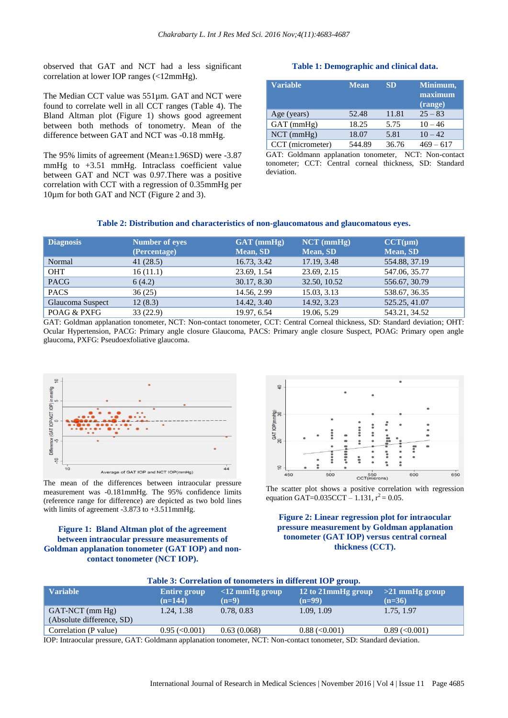observed that GAT and NCT had a less significant correlation at lower IOP ranges (<12mmHg).

The Median CCT value was 551µm. GAT and NCT were found to correlate well in all CCT ranges (Table 4). The Bland Altman plot (Figure 1) shows good agreement between both methods of tonometry. Mean of the difference between GAT and NCT was -0.18 mmHg.

The 95% limits of agreement (Mean±1.96SD) were -3.87 mmHg to +3.51 mmHg. Intraclass coefficient value between GAT and NCT was 0.97.There was a positive correlation with CCT with a regression of 0.35mmHg per 10µm for both GAT and NCT (Figure 2 and 3).

#### **Table 1: Demographic and clinical data.**

| <b>Variable</b>  | <b>Mean</b> | <b>SD</b> | Minimum,<br>maximum<br>(range) |
|------------------|-------------|-----------|--------------------------------|
| Age (years)      | 52.48       | 11.81     | $25 - 83$                      |
| $GAT$ (mmHg)     | 18.25       | 5.75      | $10 - 46$                      |
| $NCT$ (mmHg)     | 18.07       | 5.81      | $10 - 42$                      |
| CCT (micrometer) | 544.89      | 36.76     | $469 - 617$                    |

GAT: Goldmann applanation tonometer, NCT: Non-contact tonometer; CCT: Central corneal thickness, SD: Standard deviation.

#### **Table 2: Distribution and characteristics of non-glaucomatous and glaucomatous eyes.**

| <b>Diagnosis</b> | <b>Number of eyes</b><br>(Percentage) | $GAT$ (mmHg)<br>Mean, SD | $NCT$ (mmHg)<br>Mean, SD | $CCT(\mu m)$<br><b>Mean, SD</b> |
|------------------|---------------------------------------|--------------------------|--------------------------|---------------------------------|
| Normal           | 41(28.5)                              | 16.73, 3.42              | 17.19, 3.48              | 554.88, 37.19                   |
| <b>OHT</b>       | 16(11.1)                              | 23.69, 1.54              | 23.69, 2.15              | 547.06, 35.77                   |
| <b>PACG</b>      | 6(4.2)                                | 30.17, 8.30              | 32.50, 10.52             | 556.67, 30.79                   |
| <b>PACS</b>      | 36(25)                                | 14.56, 2.99              | 15.03, 3.13              | 538.67, 36.35                   |
| Glaucoma Suspect | 12(8.3)                               | 14.42, 3.40              | 14.92, 3.23              | 525.25, 41.07                   |
| POAG & PXFG      | 33(22.9)                              | 19.97, 6.54              | 19.06, 5.29              | 543.21, 34.52                   |

GAT: Goldman applanation tonometer, NCT: Non-contact tonometer, CCT: Central Corneal thickness, SD: Standard deviation; OHT: Ocular Hypertension, PACG: Primary angle closure Glaucoma, PACS: Primary angle closure Suspect, POAG: Primary open angle glaucoma, PXFG: Pseudoexfoliative glaucoma.



The mean of the differences between intraocular pressure measurement was -0.181mmHg. The 95% confidence limits (reference range for difference) are depicted as two bold lines with limits of agreement -3.873 to  $+3.511$ mmHg.

## **Figure 1: Bland Altman plot of the agreement between intraocular pressure measurements of Goldman applanation tonometer (GAT IOP) and noncontact tonometer (NCT IOP).**



The scatter plot shows a positive correlation with regression equation GAT=0.035CCT – 1.131,  $r^2 = 0.05$ .

**Figure 2: Linear regression plot for intraocular pressure measurement by Goldman applanation tonometer (GAT IOP) versus central corneal thickness (CCT).**

| Table 3: Correlation of tonometers in different IOP group.                                                           |                                  |                              |                                      |                              |
|----------------------------------------------------------------------------------------------------------------------|----------------------------------|------------------------------|--------------------------------------|------------------------------|
| <b>Variable</b>                                                                                                      | <b>Entire group</b><br>$(n=144)$ | $<$ 12 mmHg group<br>$(n=9)$ | 12 to 21mmHg group<br>$(n=99)$       | $>21$ mmHg group<br>$(n=36)$ |
| $GAT-NCT$ (mm $Hg$ )<br>(Absolute difference, SD)                                                                    | 1.24, 1.38                       | 0.78, 0.83                   | 1.09, 1.09                           | 1.75, 1.97                   |
| Correlation (P value)                                                                                                | $0.95 \approx 0.001$             | 0.63(0.068)                  | $0.88 \, \text{\textdegree}<\,0.001$ | $0.89 \approx 0.001$         |
| $IOD.$ Introgently pressure $GAT$ Goldmann applanation tonometer $NCT$ Non-contact tonometer $SD$ Standard deviation |                                  |                              |                                      |                              |

IOP: Intraocular pressure, GAT: Goldmann applanation tonometer, NCT: Non-contact tonometer, SD: Standard deviation.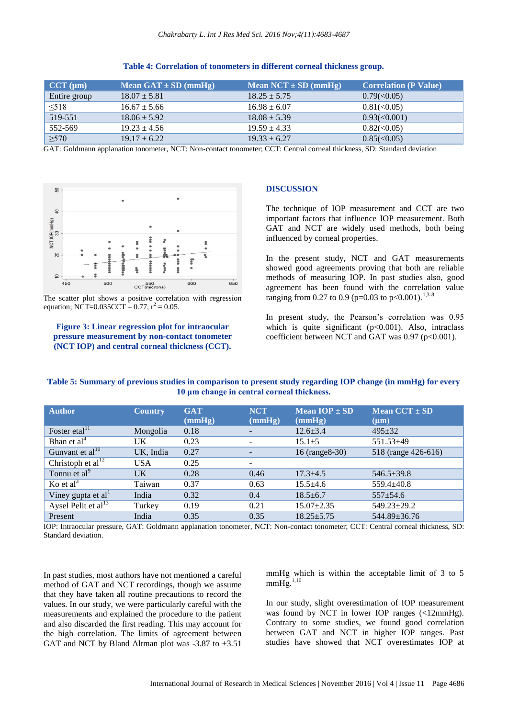| $\vert$ CCT (µm) | Mean $GAT \pm SD$ (mmHg) | Mean $NCT \pm SD$ (mmHg) | <b>Correlation (P Value)</b> |
|------------------|--------------------------|--------------------------|------------------------------|
| Entire group     | $18.07 \pm 5.81$         | $18.25 \pm 5.75$         | $0.79 \times 0.05$           |
| $\leq$ 518       | $16.67 \pm 5.66$         | $16.98 \pm 6.07$         | $0.81 \times 0.05$           |
| 519-551          | $18.06 \pm 5.92$         | $18.08 \pm 5.39$         | $0.93 \times 0.001$          |
| 552-569          | $19.23 \pm 4.56$         | $19.59 \pm 4.33$         | $0.82 \le 0.05$              |
| $\geq 570$       | $19.17 \pm 6.22$         | $19.33 \pm 6.27$         | $0.85 \times 0.05$           |

#### **Table 4: Correlation of tonometers in different corneal thickness group.**

GAT: Goldmann applanation tonometer, NCT: Non-contact tonometer; CCT: Central corneal thickness, SD: Standard deviation



The scatter plot shows a positive correlation with regression equation; NCT=0.035CCT  $-$  0.77,  $r^2 = 0.05$ .

#### **Figure 3: Linear regression plot for intraocular pressure measurement by non-contact tonometer (NCT IOP) and central corneal thickness (CCT).**

#### **DISCUSSION**

The technique of IOP measurement and CCT are two important factors that influence IOP measurement. Both GAT and NCT are widely used methods, both being influenced by corneal properties.

In the present study, NCT and GAT measurements showed good agreements proving that both are reliable methods of measuring IOP. In past studies also, good agreement has been found with the correlation value ranging from 0.27 to 0.9 (p=0.03 to p<0.001).<sup>1,3-8</sup>

In present study, the Pearson's correlation was 0.95 which is quite significant  $(p<0.001)$ . Also, intraclass coefficient between NCT and GAT was  $0.97$  (p<0.001).

| Table 5: Summary of previous studies in comparison to present study regarding IOP change (in mmHg) for every |  |
|--------------------------------------------------------------------------------------------------------------|--|
| 10 μm change in central corneal thickness.                                                                   |  |

| <b>Author</b>                   | <b>Country</b> | <b>GAT</b> | <b>NCT</b>               | Mean $IOP \pm SD$ | Mean $CCT \pm SD$   |
|---------------------------------|----------------|------------|--------------------------|-------------------|---------------------|
|                                 |                | (mmHg)     | (mmHg)                   | (mmHg)            | $(\mu m)$           |
| Foster etal <sup>11</sup>       | Mongolia       | 0.18       |                          | $12.6 \pm 3.4$    | $495 \pm 32$        |
| Bhan et $al4$                   | UK.            | 0.23       |                          | $15.1 \pm 5$      | 551.53±49           |
| Gunvant et $al10$               | UK, India      | 0.27       |                          | 16 (range 8-30)   | 518 (range 426-616) |
| Christoph et $al12$             | <b>USA</b>     | 0.25       | $\overline{\phantom{0}}$ |                   |                     |
| Tonnu et al <sup>9</sup>        | UK             | 0.28       | 0.46                     | $17.3 \pm 4.5$    | $546.5 \pm 39.8$    |
| Ko et $al3$                     | Taiwan         | 0.37       | 0.63                     | $15.5 \pm 4.6$    | $559.4 \pm 40.8$    |
| Viney gupta et al               | India          | 0.32       | 0.4                      | $18.5 \pm 6.7$    | $557+54.6$          |
| Aysel Pelit et al <sup>13</sup> | Turkey         | 0.19       | 0.21                     | $15.07 \pm 2.35$  | 549.23±29.2         |
| Present                         | India          | 0.35       | 0.35                     | $18.25 \pm 5.75$  | 544.89±36.76        |

IOP: Intraocular pressure, GAT: Goldmann applanation tonometer, NCT: Non-contact tonometer; CCT: Central corneal thickness, SD: Standard deviation.

In past studies, most authors have not mentioned a careful method of GAT and NCT recordings, though we assume that they have taken all routine precautions to record the values. In our study, we were particularly careful with the measurements and explained the procedure to the patient and also discarded the first reading. This may account for the high correlation. The limits of agreement between GAT and NCT by Bland Altman plot was -3.87 to +3.51 mmHg which is within the acceptable limit of 3 to 5  $mmHg.$ <sup>1,10</sup>

In our study, slight overestimation of IOP measurement was found by NCT in lower IOP ranges (<12mmHg). Contrary to some studies, we found good correlation between GAT and NCT in higher IOP ranges. Past studies have showed that NCT overestimates IOP at